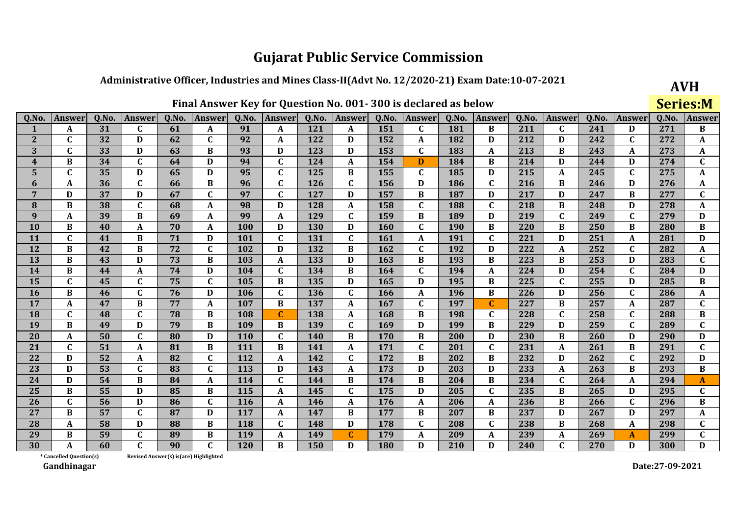## Administrative Officer, Industries and Mines Class-II(Advt No. 12/2020-21) Exam Date:10-07-2021

 $0.0100$  $\mathbf{r}$ 

|              | Final Answer Key for Question No. 001-300 is declared as below |       |              |       |               |            |               |       |               |            |               |       |               |       |               | <b>Series:M</b> |              |       |              |
|--------------|----------------------------------------------------------------|-------|--------------|-------|---------------|------------|---------------|-------|---------------|------------|---------------|-------|---------------|-------|---------------|-----------------|--------------|-------|--------------|
| Q.No.        | <b>Answer</b>                                                  | Q.No. | Answer       | Q.No. | <b>Answer</b> | Q.No.      | <b>Answer</b> | Q.No. | <b>Answer</b> | Q.No.      | <b>Answer</b> | Q.No. | <b>Answer</b> | Q.No. | <b>Answer</b> | Q.No.           | Answer       | Q.No. | Answer       |
|              | A                                                              | 31    | C            | 61    | A             | 91         | A             | 121   | A             | 151        | $\mathbf C$   | 181   | B             | 211   | C             | 241             | D            | 271   | $\bf{B}$     |
| $\mathbf{2}$ | $\mathbf C$                                                    | 32    | D            | 62    | $\mathbf C$   | 92         | A             | 122   | D             | 152        | A             | 182   | D             | 212   | D             | 242             | C            | 272   | A            |
| 3            | $\mathbf C$                                                    | 33    | $\mathbf D$  | 63    | $\bf{B}$      | 93         | D             | 123   | D             | 153        | $\mathbf{C}$  | 183   | $\mathbf{A}$  | 213   | $\bf{B}$      | 243             | A            | 273   | A            |
| 4            | $\bf{B}$                                                       | 34    | $\mathbf C$  | 64    | D             | 94         | $\mathbf C$   | 124   | A             | 154        | D             | 184   | $\bf{B}$      | 214   | D             | 244             | D            | 274   | $\mathbf C$  |
| 5            | C                                                              | 35    | D            | 65    | D             | 95         | $\mathbf C$   | 125   | B             | 155        | $\mathbf C$   | 185   | D             | 215   | A             | 245             | $\mathbf C$  | 275   | A            |
| 6            | A                                                              | 36    | $\mathbf C$  | 66    | $\, {\bf B}$  | 96         | $\mathbf C$   | 126   | $\mathbf{C}$  | 156        | D             | 186   | $\mathbf C$   | 216   | $\bf{B}$      | 246             | D            | 276   | A            |
| 7            | D                                                              | 37    | $\mathbf D$  | 67    | $\mathbf C$   | 97         | $\mathbf C$   | 127   | D             | 157        | B             | 187   | D             | 217   | D             | 247             | B            | 277   | $\mathbf C$  |
| 8            | B                                                              | 38    | $\mathbf C$  | 68    | A             | 98         | D             | 128   | A             | 158        | $\mathbf C$   | 188   | $\mathbf{C}$  | 218   | $\, {\bf B}$  | 248             | D            | 278   | A            |
| 9            | A                                                              | 39    | $\, {\bf B}$ | 69    | A             | 99         | A             | 129   | $\mathbf{C}$  | 159        | $\bf{B}$      | 189   | $\mathbf D$   | 219   | $\mathbf C$   | 249             | $\mathbf C$  | 279   | D            |
| <b>10</b>    | B                                                              | 40    | A            | 70    | A             | 100        | D             | 130   | D             | 160        | $\mathbf{C}$  | 190   | $\bf{B}$      | 220   | $\bf{B}$      | 250             | B            | 280   | $\bf{B}$     |
| 11           | $\mathbf C$                                                    | 41    | $\bf{B}$     | 71    | D             | 101        | $\mathbf C$   | 131   | $\mathbf{C}$  | 161        | A             | 191   | $\mathbf C$   | 221   | D             | 251             | A            | 281   | D            |
| 12           | B                                                              | 42    | $\bf{B}$     | 72    | $\mathbf{C}$  | 102        | D             | 132   | $\bf{B}$      | 162        | $\mathbf{C}$  | 192   | $\mathbf D$   | 222   | A             | 252             | $\mathbf{C}$ | 282   | A            |
| 13           | B                                                              | 43    | $\mathbf D$  | 73    | B             | 103        | A             | 133   | D             | 163        | B             | 193   | $\bf{B}$      | 223   | B             | 253             | D            | 283   | $\mathbf C$  |
| 14           | B                                                              | 44    | $\mathbf{A}$ | 74    | D             | 104        | $\mathbf C$   | 134   | $\bf{B}$      | 164        | $\mathbf C$   | 194   | $\mathbf{A}$  | 224   | $\mathbf D$   | 254             | $\mathbf C$  | 284   | D            |
| 15           | $\mathbf C$                                                    | 45    | $\mathbf C$  | 75    | $\mathbf C$   | 105        | B             | 135   | D             | 165        | D             | 195   | $\bf{B}$      | 225   | $\mathbf{C}$  | 255             | D            | 285   | $\bf{B}$     |
| 16           | B                                                              | 46    | $\mathbf C$  | 76    | D             | 106        | $\mathbf C$   | 136   | $\mathbf{C}$  | 166        | A             | 196   | $\bf{B}$      | 226   | D             | 256             | $\mathbf C$  | 286   | A            |
| 17           | A                                                              | 47    | $\bf{B}$     | 77    | A             | 107        | B             | 137   | A             | 167        | $\mathbf{C}$  | 197   | $\mathbf C$   | 227   | $\bf{B}$      | 257             | A            | 287   | C            |
| 18           | $\mathbf{C}$                                                   | 48    | $\mathbf C$  | 78    | $\bf{B}$      | 108        | $\mathbf C$   | 138   | A             | 168        | $\bf{B}$      | 198   | $\mathbf{C}$  | 228   | $\mathbf{C}$  | 258             | $\mathbf{C}$ | 288   | $\bf{B}$     |
| 19           | B                                                              | 49    | D            | 79    | B             | 109        | B             | 139   | C             | 169        | D             | 199   | $\bf{B}$      | 229   | D             | 259             | C            | 289   | $\mathbf C$  |
| 20           | A                                                              | 50    | $\mathbf C$  | 80    | D             | 110        | C             | 140   | B             | 170        | B             | 200   | $\mathbf D$   | 230   | $\bf{B}$      | 260             | D            | 290   | $\mathbf{D}$ |
| 21           | $\mathbf{C}$                                                   | 51    | $\mathbf{A}$ | 81    | $\, {\bf B}$  | 111        | $\bf{B}$      | 141   | A             | 171        | $\mathbf{C}$  | 201   | $\mathbf{C}$  | 231   | A             | 261             | B            | 291   | $\mathbf C$  |
| 22           | D                                                              | 52    | $\mathbf{A}$ | 82    | C             | 112        | A             | 142   | C             | 172        | B             | 202   | B             | 232   | D             | 262             | C            | 292   | D            |
| 23           | D                                                              | 53    | $\mathbf C$  | 83    | $\mathbf{C}$  | 113        | D             | 143   | A             | 173        | D             | 203   | D             | 233   | A             | 263             | B            | 293   | $\bf{B}$     |
| 24           | D                                                              | 54    | $\, {\bf B}$ | 84    | A             | 114        | $\mathbf C$   | 144   | B             | 174        | B             | 204   | $\bf{B}$      | 234   | $\mathbf{C}$  | 264             | A            | 294   | A            |
| 25           | B                                                              | 55    | $\mathbf D$  | 85    | $\bf{B}$      | 115        | $\mathbf{A}$  | 145   | $\mathbf{C}$  | 175        | D             | 205   | $\mathbf C$   | 235   | $\bf{B}$      | 265             | D            | 295   | $\mathbf C$  |
| 26           | $\mathbf C$                                                    | 56    | $\mathbf D$  | 86    | $\mathbf C$   | <b>116</b> | A             | 146   | A             | 176        | A             | 206   | A             | 236   | $\bf{B}$      | 266             | $\mathbf C$  | 296   | $\bf{B}$     |
| 27           | <sub>R</sub>                                                   | 57    | $\mathbf{C}$ | 87    | D             | 117        | A             | 147   | B             | 177        | B             | 207   | $\bf{B}$      | 237   | D             | 267             | D            | 297   | A            |
| 28           | A                                                              | 58    | $\mathbf D$  | 88    | B             | 118        | C             | 148   | D             | 178        | C             | 208   | $\mathbf C$   | 238   | $\, {\bf B}$  | 268             | A            | 298   | $\mathbf C$  |
| 29           | B                                                              | 59    | $\mathbf C$  | 89    | B             | 119        | A             | 149   | C             | 179        | A             | 209   | A             | 239   | A             | 269             | A            | 299   | $\mathbf C$  |
| 30           | A                                                              | 60    | $\mathbf{C}$ | 90    | $\mathbf C$   | 120        | B             | 150   | D             | <b>180</b> | D             | 210   | D             | 240   | $\mathbf{C}$  | 270             | D            | 300   | D            |

\* Cancelled Question(s) Revised Answer(s) is(are) Highlighted

Gandhinagar

Date:27-09-2021

**AVH**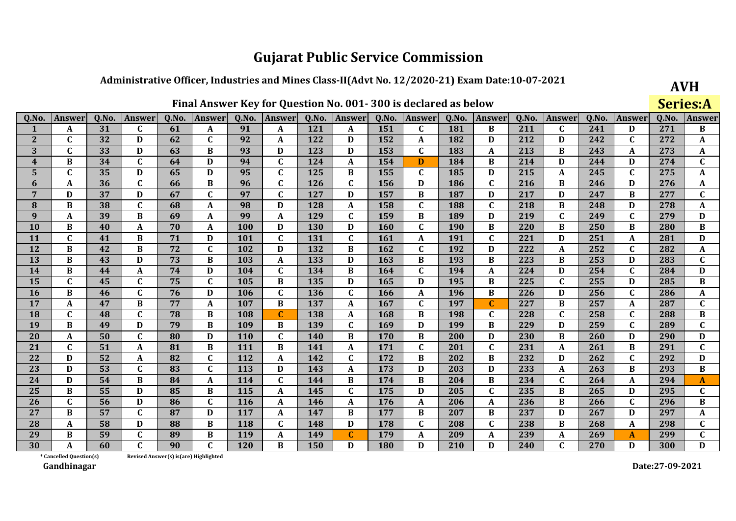## Administrative Officer, Industries and Mines Class-II(Advt No. 12/2020-21) Exam Date:10-07-2021

 $E_{total}$ rex Key for Overtian No. 001, 200 is declared as heler

|                | Final Answer Key for Question No. 001-300 is declared as below |       |                           |       |               |            |                  |            |              |            |               |            |                  |       |              | <b>Series:A</b> |               |       |               |
|----------------|----------------------------------------------------------------|-------|---------------------------|-------|---------------|------------|------------------|------------|--------------|------------|---------------|------------|------------------|-------|--------------|-----------------|---------------|-------|---------------|
| Q.No.          | <b>Answer</b>                                                  | Q.No. | Answer                    | Q.No. | <b>Answer</b> | Q.No.      | <b>Answer</b>    | Q.No.      | Answer       | Q.No.      | <b>Answer</b> | Q.No.      | Answer           | Q.No. | Answer       | Q.No.           | <b>Answer</b> | Q.No. | <b>Answer</b> |
|                | A                                                              | 31    | C                         | 61    | A             | 91         | A                | 121        | A            | 151        | $\mathbf C$   | 181        | B                | 211   | C            | 241             | D             | 271   | B             |
| $\mathbf{2}$   | $\mathbf C$                                                    | 32    | D                         | 62    | $\mathbf{C}$  | 92         | A                | 122        | D            | 152        | A             | 182        | D                | 212   | D            | 242             | $\mathbf{C}$  | 272   | A             |
| 3              | C                                                              | 33    | D                         | 63    | B             | 93         | D                | 123        | D            | 153        | $\mathbf C$   | 183        | $\boldsymbol{A}$ | 213   | $\bf{B}$     | 243             | A             | 273   | A             |
| 4              | $\bf{B}$                                                       | 34    | $\mathbf{C}$              | 64    | D             | 94         | $\mathbf{C}$     | 124        | A            | 154        | D             | 184        | $\, {\bf B}$     | 214   | D            | 244             | D             | 274   | $\mathbf C$   |
| 5              | $\mathbf C$                                                    | 35    | $\mathbf D$               | 65    | D             | 95         | $\mathbf C$      | 125        | B            | 155        | $\mathbf{C}$  | 185        | D                | 215   | A            | 245             | $\mathbf C$   | 275   | A             |
| 6              | A                                                              | 36    | $\mathbf{C}$              | 66    | B             | 96         | $\mathbf C$      | 126        | $\mathbf{C}$ | 156        | D             | 186        | $\mathbf{C}$     | 216   | B            | 246             | D             | 276   | A             |
| $7\phantom{.}$ | D                                                              | 37    | D                         | 67    | $\mathbf{C}$  | 97         | $\mathbf C$      | 127        | D            | 157        | B             | 187        | D                | 217   | D            | 247             | B             | 277   | $\mathbf C$   |
| 8              | B                                                              | 38    | $\mathbf C$               | 68    | A             | 98         | D                | 128        | A            | 158        | $\mathbf C$   | 188        | $\mathbf C$      | 218   | $\bf{B}$     | 248             | D             | 278   | A             |
| 9              | A                                                              | 39    | B                         | 69    | A             | 99         | A                | 129        | C            | 159        | B             | 189        | D                | 219   | $\mathbf{C}$ | 249             | $\mathbf C$   | 279   | D             |
| <b>10</b>      | B                                                              | 40    | A                         | 70    | A             | <b>100</b> | D                | <b>130</b> | D            | <b>160</b> | C             | <b>190</b> | $\bf{B}$         | 220   | B            | 250             | B             | 280   | B             |
| 11             | $\mathbf C$                                                    | 41    | $\, {\bf B}$              | 71    | D             | 101        | $\mathbf C$      | 131        | $\mathbf C$  | 161        | A             | 191        | $\mathbf C$      | 221   | $\mathbf D$  | 251             | A             | 281   | $\mathbf D$   |
| 12             | B                                                              | 42    | $\bf{B}$                  | 72    | $\mathbf C$   | 102        | D                | 132        | B            | 162        | $\mathbf C$   | 192        | D                | 222   | A            | 252             | C             | 282   | A             |
| 13             | $\bf{B}$                                                       | 43    | $\mathbf D$               | 73    | $\bf{B}$      | 103        | $\boldsymbol{A}$ | 133        | D            | 163        | $\bf{B}$      | 193        | $\bf{B}$         | 223   | $\bf{B}$     | 253             | D             | 283   | $\mathbf C$   |
| 14             | B                                                              | 44    | $\boldsymbol{\mathsf{A}}$ | 74    | D             | 104        | C                | 134        | B            | 164        | C             | 194        | $\mathbf{A}$     | 224   | D            | 254             | $\mathbf C$   | 284   | D             |
| 15             | C                                                              | 45    | $\mathbf C$               | 75    | C             | 105        | B                | 135        | D            | 165        | D             | 195        | B                | 225   | $\mathbf C$  | 255             | D             | 285   | B             |
| 16             | B                                                              | 46    | $\mathbf{C}$              | 76    | D             | 106        | $\mathbf C$      | 136        | $\mathbf{C}$ | 166        | A             | 196        | $\bf{B}$         | 226   | D            | 256             | $\mathbf C$   | 286   | A             |
| 17             | A                                                              | 47    | $\, {\bf B}$              | 77    | A             | 107        | B                | 137        | A            | 167        | C             | 197        | $\mathbf C$      | 227   | B            | 257             | A             | 287   | $\mathbf C$   |
| 18             | $\mathbf C$                                                    | 48    | $\mathbf C$               | 78    | B             | 108        | $\mathbf C$      | 138        | A            | 168        | $\bf{B}$      | 198        | $\mathbf C$      | 228   | $\mathbf C$  | 258             | $\mathbf C$   | 288   | $\, {\bf B}$  |
| 19             | B                                                              | 49    | $\mathbf D$               | 79    | B             | 109        | $\bf{B}$         | 139        | $\mathbf{C}$ | 169        | D             | 199        | $\, {\bf B}$     | 229   | D            | 259             | $\mathbf{C}$  | 289   | $\mathbf{C}$  |
| 20             | A                                                              | 50    | $\mathbf C$               | 80    | D             | <b>110</b> | C                | 140        | B            | 170        | B             | 200        | D                | 230   | $\bf{B}$     | 260             | D             | 290   | D             |
| 21             | $\mathbf C$                                                    | 51    | $\mathbf{A}$              | 81    | $\bf{B}$      | 111        | $\bf{B}$         | 141        | A            | 171        | $\mathbf{C}$  | 201        | $\mathbf C$      | 231   | A            | 261             | $\bf{B}$      | 291   | $\mathbf C$   |
| 22             | D                                                              | 52    | A                         | 82    | $\mathbf C$   | 112        | A                | 142        | $\mathbf{C}$ | 172        | B             | 202        | $\bf{B}$         | 232   | D            | 262             | C             | 292   | D             |
| 23             | D                                                              | 53    | $\mathbf C$               | 83    | $\mathbf C$   | 113        | D                | 143        | A            | 173        | D             | 203        | D                | 233   | $\mathbf A$  | 263             | B             | 293   | $\bf{B}$      |
| 24             | D                                                              | 54    | $\bf{B}$                  | 84    | A             | 114        | $\mathbf{C}$     | 144        | B            | 174        | $\bf{B}$      | 204        | $\, {\bf B}$     | 234   | $\mathbf{C}$ | 264             | A             | 294   | A             |
| 25             | B                                                              | 55    | $\mathbf D$               | 85    | B             | 115        | $\mathbf{A}$     | 145        | $\mathbf{C}$ | 175        | D             | 205        | $\mathbf C$      | 235   | $\bf{B}$     | 265             | D             | 295   | $\mathbf C$   |
| 26             | C                                                              | 56    | D                         | 86    | $\mathbf C$   | <b>116</b> | A                | 146        | A            | 176        | A             | 206        | A                | 236   | $\bf{B}$     | 266             | $\mathbf C$   | 296   | $\bf{B}$      |
| 27             | <sub>R</sub>                                                   | 57    | $\mathbf{C}$              | 87    | D             | 117        | A                | 147        | B            | 177        | $\bf{B}$      | 207        | B                | 237   | D            | 267             | D             | 297   | A             |
| 28             | A                                                              | 58    | D                         | 88    | B             | 118        | C                | 148        | D            | 178        | C             | 208        | $\mathbf C$      | 238   | $\bf{B}$     | 268             | A             | 298   | $\mathbf C$   |
| 29             | B                                                              | 59    | $\mathbf C$               | 89    | B             | 119        | A                | 149        | C            | 179        | A             | 209        | A                | 239   | A            | 269             | A             | 299   | $\mathbf C$   |
| 30             | A                                                              | 60    | $\mathbf{C}$              | 90    | $\mathbf C$   | 120        | B                | 150        | D            | <b>180</b> | D             | 210        | D                | 240   | $\mathbf C$  | 270             | D             | 300   | D             |

\* Cancelled Question(s) Revised Answer(s) is(are) Highlighted

Gandhinagar

Date:27-09-2021

**AVH**  $C = 1 - 1$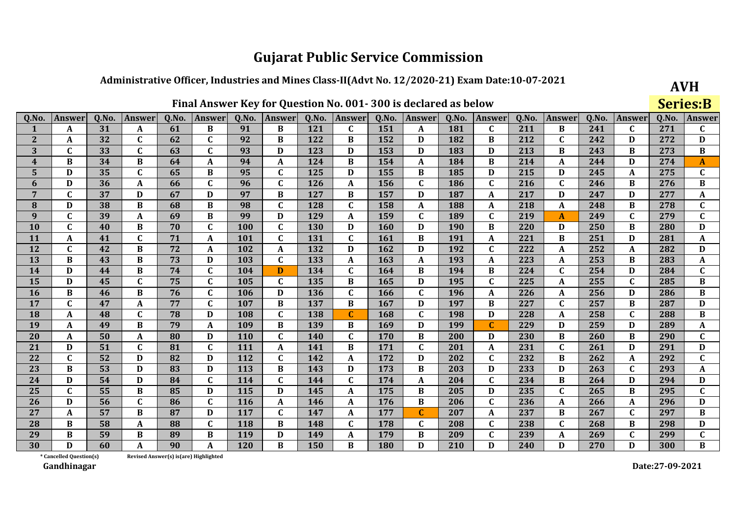## Administrative Officer, Industries and Mines Class-II(Advt No. 12/2020-21) Exam Date:10-07-2021

 $0.0100$  $\mathbf{r}$ 

|              | Final Answer Key for Question No. 001-300 is declared as below |       |                  |       |               |            |               |       |              |            |               |       |                  |       | <b>Series:B</b> |       |               |       |                           |
|--------------|----------------------------------------------------------------|-------|------------------|-------|---------------|------------|---------------|-------|--------------|------------|---------------|-------|------------------|-------|-----------------|-------|---------------|-------|---------------------------|
| Q.No.        | <b>Answer</b>                                                  | Q.No. | Answer           | Q.No. | <b>Answer</b> | Q.No.      | <b>Answer</b> | Q.No. | Answer       | Q.No.      | <b>Answer</b> | Q.No. | <b>Answer</b>    | Q.No. | <b>Answer</b>   | Q.No. | <b>Answer</b> | Q.No. | Answei                    |
|              | A                                                              | 31    | A                | 61    | B             | 91         | B             | 121   | $\mathbf C$  | 151        | A             | 181   | $\mathbf c$      | 211   | B               | 241   | $\mathbf c$   | 271   | C                         |
| $\mathbf{2}$ | A                                                              | 32    | $\mathbf C$      | 62    | $\mathbf C$   | 92         | B             | 122   | B            | 152        | D             | 182   | $\bf{B}$         | 212   | $\mathbf C$     | 242   | D             | 272   | $\mathbf D$               |
| 3            | $\mathbf C$                                                    | 33    | $\mathbf C$      | 63    | $\mathbf C$   | 93         | D             | 123   | D            | 153        | D             | 183   | D                | 213   | $\bf{B}$        | 243   | B             | 273   | $\bf{B}$                  |
| 4            | $\bf{B}$                                                       | 34    | $\bf{B}$         | 64    | A             | 94         | A             | 124   | $\bf{B}$     | 154        | A             | 184   | $\bf{B}$         | 214   | $\mathbf{A}$    | 244   | D             | 274   | A                         |
| 5            | D                                                              | 35    | $\mathbf C$      | 65    | $\bf{B}$      | 95         | C             | 125   | D            | 155        | B             | 185   | D                | 215   | D               | 245   | A             | 275   | $\mathbf C$               |
| 6            | D                                                              | 36    | $\mathbf{A}$     | 66    | $\mathbf C$   | 96         | C             | 126   | A            | 156        | C             | 186   | $\mathbf C$      | 216   | $\mathbf C$     | 246   | $\bf{B}$      | 276   | $\bf{B}$                  |
| 7            | C                                                              | 37    | D                | 67    | D             | 97         | B             | 127   | B            | 157        | D             | 187   | A                | 217   | D               | 247   | D             | 277   | A                         |
| 8            | D                                                              | 38    | $\bf{B}$         | 68    | $\bf{B}$      | 98         | $\mathbf C$   | 128   | $\mathbf C$  | 158        | A             | 188   | $\mathbf{A}$     | 218   | A               | 248   | B             | 278   | $\mathbf C$               |
| 9            | $\mathbf C$                                                    | 39    | A                | 69    | $\bf{B}$      | 99         | D             | 129   | A            | 159        | C             | 189   | $\mathbf C$      | 219   | $\mathbf{A}$    | 249   | $\mathbf{C}$  | 279   | $\mathbf C$               |
| <b>10</b>    | $\mathbf C$                                                    | 40    | $\bf{B}$         | 70    | $\mathbf{C}$  | 100        | $\mathbf C$   | 130   | D            | 160        | D             | 190   | $\bf{B}$         | 220   | D               | 250   | B             | 280   | D                         |
| 11           | A                                                              | 41    | $\mathbf C$      | 71    | A             | 101        | C             | 131   | $\mathbf C$  | 161        | B             | 191   | $\boldsymbol{A}$ | 221   | $\bf{B}$        | 251   | D             | 281   | $\boldsymbol{\mathsf{A}}$ |
| 12           | $\mathbf C$                                                    | 42    | $\bf{B}$         | 72    | A             | 102        | A             | 132   | D            | 162        | D             | 192   | $\mathbf C$      | 222   | A               | 252   | A             | 282   | D                         |
| 13           | B                                                              | 43    | $\bf{B}$         | 73    | D             | 103        | $\mathbf C$   | 133   | A            | 163        | A             | 193   | $\boldsymbol{A}$ | 223   | A               | 253   | B             | 283   | A                         |
| 14           | D                                                              | 44    | $\, {\bf B}$     | 74    | $\mathbf C$   | 104        | D             | 134   | $\mathbf C$  | 164        | $\bf{B}$      | 194   | $\, {\bf B}$     | 224   | $\mathbf C$     | 254   | D             | 284   | $\mathbf C$               |
| 15           | D                                                              | 45    | $\mathbf C$      | 75    | $\mathbf C$   | 105        | $\mathbf C$   | 135   | $\bf{B}$     | 165        | D             | 195   | $\mathbf C$      | 225   | A               | 255   | $\mathbf{C}$  | 285   | $\bf{B}$                  |
| <b>16</b>    | B                                                              | 46    | $\bf{B}$         | 76    | $\mathbf{C}$  | 106        | D             | 136   | $\mathbf{C}$ | 166        | C             | 196   | $\mathbf{A}$     | 226   | A               | 256   | D             | 286   | $\, {\bf B}$              |
| 17           | $\mathbf C$                                                    | 47    | A                | 77    | $\mathbf C$   | 107        | B             | 137   | B            | 167        | D             | 197   | $\bf{B}$         | 227   | $\mathbf C$     | 257   | B             | 287   | $\mathbf D$               |
| 18           | A                                                              | 48    | $\mathbf C$      | 78    | D             | 108        | $\mathbf C$   | 138   | $\mathbf C$  | 168        | $\mathbf{C}$  | 198   | D                | 228   | $\mathbf{A}$    | 258   | $\mathbf C$   | 288   | $\bf{B}$                  |
| 19           | A                                                              | 49    | $\bf{B}$         | 79    | A             | 109        | $\bf{B}$      | 139   | B            | 169        | D             | 199   | $\mathbf{C}$     | 229   | D               | 259   | D             | 289   | A                         |
| 20           | A                                                              | 50    | $\boldsymbol{A}$ | 80    | D             | 110        | $\mathbf c$   | 140   | $\mathbf C$  | 170        | $\bf{B}$      | 200   | D                | 230   | $\bf{B}$        | 260   | $\bf{B}$      | 290   | $\mathbf C$               |
| 21           | D                                                              | 51    | $\mathbf C$      | 81    | $\mathbf{C}$  | 111        | A             | 141   | $\bf{B}$     | 171        | $\mathbf{C}$  | 201   | $\mathbf{A}$     | 231   | $\mathbf{C}$    | 261   | D             | 291   | D                         |
| 22           | $\mathbf C$                                                    | 52    | D                | 82    | D             | 112        | $\mathbf C$   | 142   | A            | 172        | D             | 202   | $\mathbf C$      | 232   | $\bf{B}$        | 262   | A             | 292   | $\mathbf C$               |
| 23           | B                                                              | 53    | $\mathbf D$      | 83    | D             | 113        | B             | 143   | D            | 173        | B             | 203   | D                | 233   | D               | 263   | C             | 293   | A                         |
| 24           | D                                                              | 54    | $\mathbf D$      | 84    | $\mathbf C$   | 114        | $\mathbf C$   | 144   | $\mathbf C$  | 174        | A             | 204   | $\mathbf C$      | 234   | $\bf{B}$        | 264   | D             | 294   | D                         |
| 25           | $\mathbf C$                                                    | 55    | $\, {\bf B}$     | 85    | D             | 115        | D             | 145   | A            | 175        | B             | 205   | D                | 235   | $\mathbf C$     | 265   | B             | 295   | $\mathbf C$               |
| 26           | D                                                              | 56    | $\mathbf C$      | 86    | $\mathbf C$   | <b>116</b> | A             | 146   | A            | 176        | B             | 206   | $\mathbf C$      | 236   | A               | 266   | A             | 296   | D                         |
| 27           | A                                                              | 57    | $\bf{B}$         | 87    | D             | 117        | $\mathbf C$   | 147   | A            | 177        | $\mathbf{C}$  | 207   | $\mathbf{A}$     | 237   | $\bf{B}$        | 267   | $\mathbf C$   | 297   | $\bf{B}$                  |
| 28           | B                                                              | 58    | $\boldsymbol{A}$ | 88    | $\mathbf C$   | 118        | B             | 148   | $\mathbf C$  | 178        | C             | 208   | $\mathbf C$      | 238   | $\mathbf C$     | 268   | B             | 298   | $\mathbf{D}$              |
| 29           | B                                                              | 59    | $\bf{B}$         | 89    | B             | 119        | D             | 149   | A            | 179        | B             | 209   | $\mathbf C$      | 239   | A               | 269   | C             | 299   | $\mathbf C$               |
| 30           | D                                                              | 60    | A                | 90    | A             | <b>120</b> | B             | 150   | B            | <b>180</b> | D             | 210   | D                | 240   | D               | 270   | D             | 300   | $\bf{B}$                  |

\* Cancelled Question(s) Revised Answer(s) is(are) Highlighted

Gandhinagar

Date:27-09-2021

**AVH**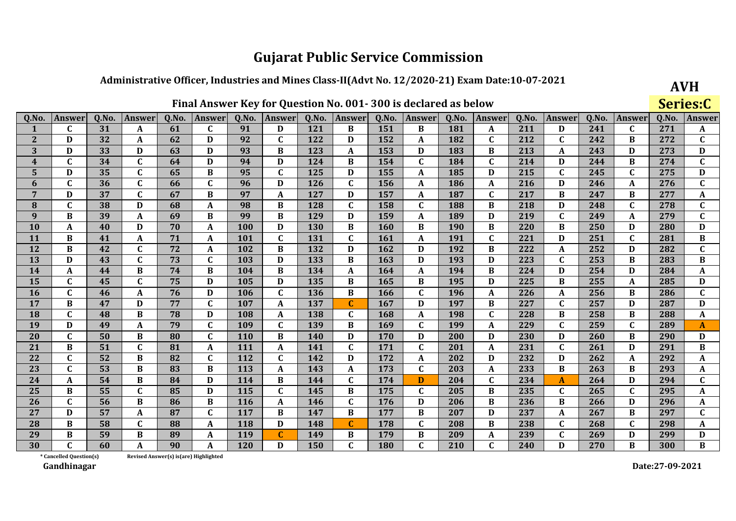## Administrative Officer, Industries and Mines Class-II(Advt No. 12/2020-21) Exam Date:10-07-2021

|  |  |  |  | Final Answer Key for Question No. 001-300 is declared as below |  |  |  |  |  |  |  |  |
|--|--|--|--|----------------------------------------------------------------|--|--|--|--|--|--|--|--|
|--|--|--|--|----------------------------------------------------------------|--|--|--|--|--|--|--|--|

|                         | Final Answer Key for Question No. 001-300 is declared as below |       |                  |       |                  |       |               |       |               |            |              |            |                  |       |                  | Series:C |               |       |              |
|-------------------------|----------------------------------------------------------------|-------|------------------|-------|------------------|-------|---------------|-------|---------------|------------|--------------|------------|------------------|-------|------------------|----------|---------------|-------|--------------|
| Q.No.                   | <b>Answer</b>                                                  | Q.No. | Answer           | Q.No. | <b>Answer</b>    | Q.No. | <b>Answer</b> | Q.No. | <b>Answer</b> | Q.No.      | Answer       | Q.No.      | <b>Answer</b>    | Q.No. | <b>Answer</b>    | Q.No.    | <b>Answer</b> | Q.No. | <b>Answe</b> |
| 1                       | C                                                              | 31    | A                | 61    | $\mathbf C$      | 91    | D             | 121   | B             | 151        | B            | 181        | A                | 211   | D                | 241      | $\mathbf{C}$  | 271   | A            |
| $\mathbf{2}$            | D                                                              | 32    | A                | 62    | D                | 92    | $\mathbf{C}$  | 122   | D             | 152        | A            | 182        | $\mathbf C$      | 212   | $\mathbf C$      | 242      | B             | 272   | C            |
| $\overline{\mathbf{3}}$ | D                                                              | 33    | D                | 63    | D                | 93    | $\bf{B}$      | 123   | $\mathbf{A}$  | 153        | D            | 183        | $\bf{B}$         | 213   | $\mathbf A$      | 243      | D             | 273   | D            |
| $\overline{\mathbf{4}}$ | $\mathbf{C}$                                                   | 34    | $\mathbf C$      | 64    | D                | 94    | D             | 124   | B             | 154        | $\mathbf C$  | 184        | $\mathbf C$      | 214   | D                | 244      | B             | 274   | $\mathbf{C}$ |
| 5                       | D                                                              | 35    | $\mathbf C$      | 65    | $\bf{B}$         | 95    | $\mathbf C$   | 125   | D             | 155        | A            | 185        | D                | 215   | $\mathbf C$      | 245      | $\mathbf C$   | 275   | D            |
| 6                       | C                                                              | 36    | $\mathbf C$      | 66    | $\mathbf C$      | 96    | D             | 126   | C             | 156        | A            | 186        | $\boldsymbol{A}$ | 216   | D                | 246      | A             | 276   | $\mathbf C$  |
| 7                       | D                                                              | 37    | $\mathbf{C}$     | 67    | B                | 97    | A             | 127   | D             | 157        | A            | 187        | $\mathbf{C}$     | 217   | B                | 247      | $\bf{B}$      | 277   | A            |
| 8                       | C                                                              | 38    | D                | 68    | $\boldsymbol{A}$ | 98    | B             | 128   | $\mathbf C$   | 158        | $\mathbf C$  | 188        | $\bf{B}$         | 218   | D                | 248      | $\mathbf C$   | 278   | $\mathbf C$  |
| 9                       | B                                                              | 39    | A                | 69    | $\bf{B}$         | 99    | B             | 129   | D             | 159        | A            | 189        | D                | 219   | $\mathbf C$      | 249      | A             | 279   | $\mathbf C$  |
| <b>10</b>               | A                                                              | 40    | D                | 70    | A                | 100   | D             | 130   | B             | <b>160</b> | B            | <b>190</b> | $\bf{B}$         | 220   | B                | 250      | D             | 280   | D            |
| 11                      | B                                                              | 41    | A                | 71    | A                | 101   | C             | 131   | $\mathbf C$   | 161        | A            | 191        | $\mathbf C$      | 221   | D                | 251      | C             | 281   | $\bf{B}$     |
| 12                      | B                                                              | 42    | $\mathbf C$      | 72    | A                | 102   | B             | 132   | D             | 162        | D            | 192        | $\bf{B}$         | 222   | $\mathbf{A}$     | 252      | D             | 282   | $\mathbf C$  |
| 13                      | D                                                              | 43    | $\mathbf C$      | 73    | $\mathbf C$      | 103   | $\mathbf D$   | 133   | B             | 163        | D            | 193        | D                | 223   | $\mathbf C$      | 253      | $\bf{B}$      | 283   | $\bf{B}$     |
| 14                      | A                                                              | 44    | $\bf{B}$         | 74    | $\bf{B}$         | 104   | B             | 134   | A             | 164        | A            | 194        | $\bf{B}$         | 224   | D                | 254      | D             | 284   | A            |
| 15                      | C                                                              | 45    | $\mathbf C$      | 75    | D                | 105   | D             | 135   | B             | 165        | B            | 195        | D                | 225   | B                | 255      | A             | 285   | D            |
| 16                      | $\mathbf{C}$                                                   | 46    | $\boldsymbol{A}$ | 76    | D                | 106   | $\mathbf{C}$  | 136   | $\bf{B}$      | 166        | $\mathbf C$  | 196        | $\mathbf{A}$     | 226   | $\boldsymbol{A}$ | 256      | $\bf{B}$      | 286   | $\mathbf C$  |
| 17                      | B                                                              | 47    | D                | 77    | $\mathbf C$      | 107   | A             | 137   | $\mathbf C$   | 167        | D            | 197        | $\bf{B}$         | 227   | $\mathbf C$      | 257      | D             | 287   | D            |
| 18                      | C                                                              | 48    | $\bf{B}$         | 78    | D                | 108   | A             | 138   | C             | 168        | A            | 198        | $\mathbf C$      | 228   | $\bf{B}$         | 258      | B             | 288   | A            |
| 19                      | D                                                              | 49    | A                | 79    | $\mathbf C$      | 109   | $\mathbf C$   | 139   | B             | 169        | C            | 199        | $\mathbf{A}$     | 229   | $\mathbf C$      | 259      | $\mathbf C$   | 289   | A            |
| 20                      | $\mathbf{C}$                                                   | 50    | B                | 80    | $\mathbf{C}$     | 110   | $\bf{B}$      | 140   | D             | 170        | D            | 200        | D                | 230   | D                | 260      | B             | 290   | D            |
| 21                      | B                                                              | 51    | $\mathbf C$      | 81    | A                | 111   | A             | 141   | $\mathbf C$   | 171        | $\mathbf C$  | 201        | A                | 231   | $\mathbf C$      | 261      | D             | 291   | B            |
| 22                      | $\mathbf{C}$                                                   | 52    | $\bf{B}$         | 82    | $\mathbf{C}$     | 112   | $\mathbf C$   | 142   | D             | 172        | A            | 202        | D                | 232   | D                | 262      | A             | 292   | A            |
| 23                      | C                                                              | 53    | B                | 83    | B                | 113   | A             | 143   | A             | 173        | C            | 203        | A                | 233   | B                | 263      | B             | 293   | A            |
| 24                      | A                                                              | 54    | $\bf{B}$         | 84    | D                | 114   | $\bf{B}$      | 144   | $\mathbf C$   | 174        | D            | 204        | $\mathbf C$      | 234   | $\boldsymbol{A}$ | 264      | D             | 294   | $\mathbf C$  |
| 25                      | B                                                              | 55    | $\mathbf C$      | 85    | D                | 115   | $\mathbf C$   | 145   | B             | 175        | $\mathbf C$  | 205        | $\bf{B}$         | 235   | $\mathbf C$      | 265      | $\mathbf C$   | 295   | A            |
| 26                      | $\mathbf{C}$                                                   | 56    | $\bf{B}$         | 86    | $\bf{B}$         | 116   | A             | 146   | $\mathbf C$   | 176        | D            | 206        | $\bf{B}$         | 236   | $\bf{B}$         | 266      | D             | 296   | A            |
| 27                      | D                                                              | 57    | A                | 87    | $\mathbf C$      | 117   | B             | 147   | B             | 177        | B            | 207        | D                | 237   | A                | 267      | B             | 297   | $\mathbf C$  |
| 28                      | B                                                              | 58    | $\mathbf C$      | 88    | A                | 118   | D             | 148   | $\mathbf{C}$  | 178        | C            | 208        | B                | 238   | $\mathbf C$      | 268      | C             | 298   | A            |
| 29                      | $\bf{B}$                                                       | 59    | $\bf{B}$         | 89    | A                | 119   | $\mathbf C$   | 149   | B             | 179        | $\bf{B}$     | 209        | $\mathbf{A}$     | 239   | $\mathbf{C}$     | 269      | D             | 299   | D            |
| 30                      | $\mathbf{C}$                                                   | 60    | A                | 90    | A                | 120   | D             | 150   | $\mathbf{C}$  | 180        | $\mathbf{C}$ | 210        | $\mathbf{C}$     | 240   | D                | 270      | B             | 300   | B            |

\* Cancelled Question(s) Revised Answer(s) is(are) Highlighted

Gandhinagar

Date:27-09-2021

**AVH**